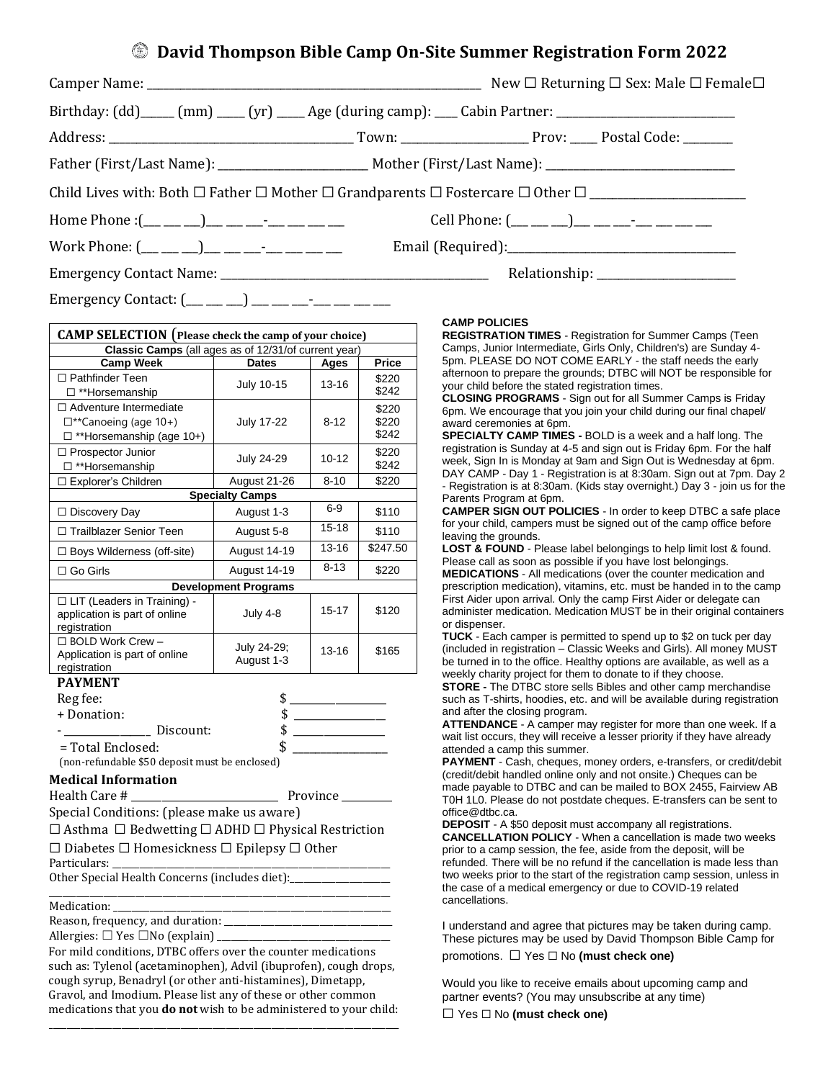## **David Thompson Bible Camp On-Site Summer Registration Form 2022**

|                                                 | New $\Box$ Returning $\Box$ Sex: Male $\Box$ Female $\Box$                                                                                                                                   |
|-------------------------------------------------|----------------------------------------------------------------------------------------------------------------------------------------------------------------------------------------------|
|                                                 |                                                                                                                                                                                              |
|                                                 |                                                                                                                                                                                              |
|                                                 |                                                                                                                                                                                              |
|                                                 |                                                                                                                                                                                              |
|                                                 |                                                                                                                                                                                              |
| Work Phone: (__ __ __)__ __ __- ___ ___ ___ ___ |                                                                                                                                                                                              |
|                                                 |                                                                                                                                                                                              |
|                                                 | Birthday: (dd)____ (mm) ____ (yr) ____ Age (during camp): ___ Cabin Partner: ______________________<br>Home Phone :(__ __ __)__ __ __-_ __ __ __ __ Cell Phone: (__ __ _)_ __ __ __ __ __ __ |

Emergency Contact:  $(\_\_\_\_\_)\_\_\_\_\_\_...$ 

| <b>CAMP SELECTION</b> (Please check the camp of your choice)                                       |                             |                   |                         |  |  |
|----------------------------------------------------------------------------------------------------|-----------------------------|-------------------|-------------------------|--|--|
| Classic Camps (all ages as of 12/31/of current year)                                               |                             |                   |                         |  |  |
| <b>Camp Week</b>                                                                                   | <b>Dates</b>                | Ages              | <b>Price</b>            |  |  |
| $\Box$ Pathfinder Teen<br>□ **Horsemanship                                                         | July 10-15                  | 13-16             | \$220<br>\$242          |  |  |
| $\Box$ Adventure Intermediate<br>$\square$ **Canoeing (age 10+)<br>$\Box$ **Horsemanship (age 10+) | July 17-22                  | 8-12              | \$220<br>\$220<br>\$242 |  |  |
| □ Prospector Junior<br>□ **Horsemanship                                                            | <b>July 24-29</b>           | $10 - 12$         | \$220<br>\$242          |  |  |
| □ Explorer's Children                                                                              | August 21-26                | $8 - 10$          | \$220                   |  |  |
|                                                                                                    | <b>Specialty Camps</b>      |                   |                         |  |  |
| $\Box$ Discovery Day                                                                               | August 1-3                  | 6-9               | \$110                   |  |  |
| □ Trailblazer Senior Teen                                                                          | August 5-8                  | $15 - 18$         | \$110                   |  |  |
| □ Boys Wilderness (off-site)                                                                       | August 14-19                | $13 - 16$         | \$247.50                |  |  |
| $\Box$ Go Girls                                                                                    | August 14-19                | $8 - 13$          | \$220                   |  |  |
|                                                                                                    | <b>Development Programs</b> |                   |                         |  |  |
| □ LIT (Leaders in Training) -<br>application is part of online<br>registration                     | <b>July 4-8</b>             | 15-17             | \$120                   |  |  |
| □ BOLD Work Crew -<br>Application is part of online<br>registration                                | July 24-29;<br>August 1-3   | 13-16             | \$165                   |  |  |
| <b>PAYMENT</b>                                                                                     |                             |                   |                         |  |  |
| Reg fee:                                                                                           | \$                          |                   |                         |  |  |
| + Donation:                                                                                        | \$                          |                   |                         |  |  |
| Discount:                                                                                          | \$                          |                   |                         |  |  |
| = Total Enclosed:                                                                                  | \$                          |                   |                         |  |  |
| (non-refundable \$50 deposit must be enclosed)                                                     |                             |                   |                         |  |  |
| <b>Medical Information</b>                                                                         |                             |                   |                         |  |  |
| Health Care #                                                                                      |                             | Province ________ |                         |  |  |
| Special Conditions: (please make us aware)                                                         |                             |                   |                         |  |  |
| $\Box$ Asthma $\Box$ Bedwetting $\Box$ ADHD $\Box$ Physical Restriction                            |                             |                   |                         |  |  |
| $\Box$ Diabetes $\Box$ Homesickness $\Box$ Epilepsy $\Box$ Other                                   |                             |                   |                         |  |  |
| Particulars:                                                                                       |                             |                   |                         |  |  |
| Other Special Health Concerns (includes diet):                                                     |                             |                   |                         |  |  |
| Medication:                                                                                        |                             |                   |                         |  |  |
| Reason, frequency, and duration: _                                                                 |                             |                   |                         |  |  |

Allergies:  $\Box$  Yes  $\Box$  No (explain)

For mild conditions, DTBC offers over the counter medications such as: Tylenol (acetaminophen), Advil (ibuprofen), cough drops, cough syrup, Benadryl (or other anti-histamines), Dimetapp, Gravol, and Imodium. Please list any of these or other common medications that you **do not** wish to be administered to your child:

\_\_\_\_\_\_\_\_\_\_\_\_\_\_\_\_\_\_\_\_\_\_\_\_\_\_\_\_\_\_\_\_\_\_\_\_\_\_\_\_\_\_\_\_\_\_\_\_\_\_\_\_\_\_\_\_\_\_\_\_\_\_\_\_\_\_\_\_\_\_\_\_\_\_\_\_\_

## **CAMP POLICIES**

**REGISTRATION TIMES** - Registration for Summer Camps (Teen Camps, Junior Intermediate, Girls Only, Children's) are Sunday 4- 5pm. PLEASE DO NOT COME EARLY - the staff needs the early afternoon to prepare the grounds; DTBC will NOT be responsible for your child before the stated registration times.

**CLOSING PROGRAMS** - Sign out for all Summer Camps is Friday 6pm. We encourage that you join your child during our final chapel/ award ceremonies at 6pm.

**SPECIALTY CAMP TIMES -** BOLD is a week and a half long. The registration is Sunday at 4-5 and sign out is Friday 6pm. For the half week, Sign In is Monday at 9am and Sign Out is Wednesday at 6pm. DAY CAMP - Day 1 - Registration is at 8:30am. Sign out at 7pm. Day 2 - Registration is at 8:30am. (Kids stay overnight.) Day 3 - join us for the Parents Program at 6pm.

**CAMPER SIGN OUT POLICIES** - In order to keep DTBC a safe place for your child, campers must be signed out of the camp office before leaving the grounds.

**LOST & FOUND** - Please label belongings to help limit lost & found. Please call as soon as possible if you have lost belongings.

**MEDICATIONS** - All medications (over the counter medication and prescription medication), vitamins, etc. must be handed in to the camp First Aider upon arrival. Only the camp First Aider or delegate can administer medication. Medication MUST be in their original containers or dispenser.

**TUCK** - Each camper is permitted to spend up to \$2 on tuck per day (included in registration – Classic Weeks and Girls). All money MUST be turned in to the office. Healthy options are available, as well as a weekly charity project for them to donate to if they choose.

**STORE -** The DTBC store sells Bibles and other camp merchandise such as T-shirts, hoodies, etc. and will be available during registration and after the closing program.

**ATTENDANCE** - A camper may register for more than one week. If a wait list occurs, they will receive a lesser priority if they have already attended a camp this summer.

**PAYMENT** - Cash, cheques, money orders, e-transfers, or credit/debit (credit/debit handled online only and not onsite.) Cheques can be made payable to DTBC and can be mailed to BOX 2455, Fairview AB T0H 1L0. Please do not postdate cheques. E-transfers can be sent to office@dtbc.ca.

**DEPOSIT** - A \$50 deposit must accompany all registrations.

**CANCELLATION POLICY** - When a cancellation is made two weeks prior to a camp session, the fee, aside from the deposit, will be refunded. There will be no refund if the cancellation is made less than two weeks prior to the start of the registration camp session, unless in the case of a medical emergency or due to COVID-19 related cancellations.

I understand and agree that pictures may be taken during camp. These pictures may be used by David Thompson Bible Camp for promotions. ☐ Yes ☐ No **(must check one)**

Would you like to receive emails about upcoming camp and partner events? (You may unsubscribe at any time)

☐ Yes ☐ No **(must check one)**